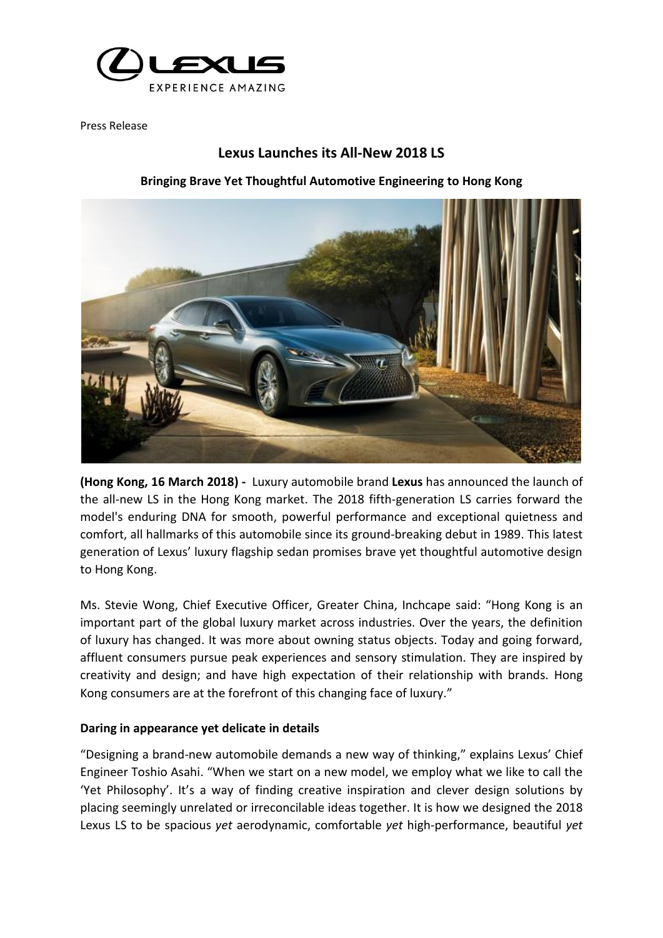

Press Release

# **Lexus Launches its All-New 2018 LS**

### **Bringing Brave Yet Thoughtful Automotive Engineering to Hong Kong**



**(Hong Kong, 16 March 2018) -** Luxury automobile brand **Lexus** has announced the launch of the all-new LS in the Hong Kong market. The 2018 fifth-generation LS carries forward the model's enduring DNA for smooth, powerful performance and exceptional quietness and comfort, all hallmarks of this automobile since its ground-breaking debut in 1989. This latest generation of Lexus' luxury flagship sedan promises brave yet thoughtful automotive design to Hong Kong.

Ms. Stevie Wong, Chief Executive Officer, Greater China, Inchcape said: "Hong Kong is an important part of the global luxury market across industries. Over the years, the definition of luxury has changed. It was more about owning status objects. Today and going forward, affluent consumers pursue peak experiences and sensory stimulation. They are inspired by creativity and design; and have high expectation of their relationship with brands. Hong Kong consumers are at the forefront of this changing face of luxury."

### **Daring in appearance yet delicate in details**

"Designing a brand-new automobile demands a new way of thinking," explains Lexus' Chief Engineer Toshio Asahi. "When we start on a new model, we employ what we like to call the 'Yet Philosophy'. It's a way of finding creative inspiration and clever design solutions by placing seemingly unrelated or irreconcilable ideas together. It is how we designed the 2018 Lexus LS to be spacious *yet* aerodynamic, comfortable *yet* high-performance, beautiful *yet*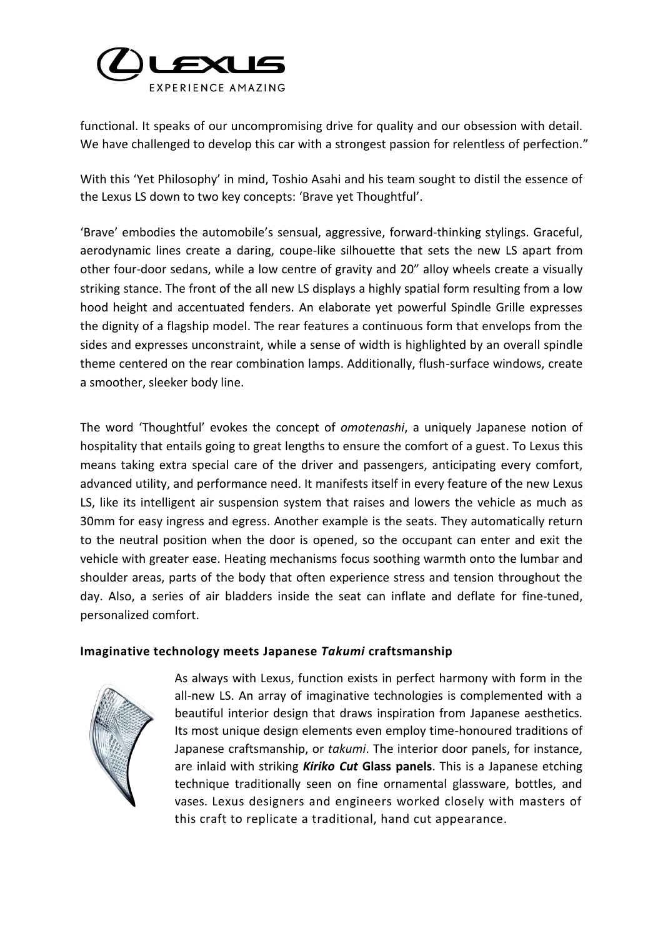

functional. It speaks of our uncompromising drive for quality and our obsession with detail. We have challenged to develop this car with a strongest passion for relentless of perfection."

With this 'Yet Philosophy' in mind, Toshio Asahi and his team sought to distil the essence of the Lexus LS down to two key concepts: 'Brave yet Thoughtful'.

'Brave' embodies the automobile's sensual, aggressive, forward-thinking stylings. Graceful, aerodynamic lines create a daring, coupe-like silhouette that sets the new LS apart from other four-door sedans, while a low centre of gravity and 20" alloy wheels create a visually striking stance. The front of the all new LS displays a highly spatial form resulting from a low hood height and accentuated fenders. An elaborate yet powerful Spindle Grille expresses the dignity of a flagship model. The rear features a continuous form that envelops from the sides and expresses unconstraint, while a sense of width is highlighted by an overall spindle theme centered on the rear combination lamps. Additionally, flush-surface windows, create a smoother, sleeker body line.

The word 'Thoughtful' evokes the concept of *omotenashi*, a uniquely Japanese notion of hospitality that entails going to great lengths to ensure the comfort of a guest. To Lexus this means taking extra special care of the driver and passengers, anticipating every comfort, advanced utility, and performance need. It manifests itself in every feature of the new Lexus LS, like its intelligent air suspension system that raises and lowers the vehicle as much as 30mm for easy ingress and egress. Another example is the seats. They automatically return to the neutral position when the door is opened, so the occupant can enter and exit the vehicle with greater ease. Heating mechanisms focus soothing warmth onto the lumbar and shoulder areas, parts of the body that often experience stress and tension throughout the day. Also, a series of air bladders inside the seat can inflate and deflate for fine-tuned, personalized comfort.

## **Imaginative technology meets Japanese** *Takumi* **craftsmanship**



As always with Lexus, function exists in perfect harmony with form in the all-new LS. An array of imaginative technologies is complemented with a beautiful interior design that draws inspiration from Japanese aesthetics. Its most unique design elements even employ time-honoured traditions of Japanese craftsmanship, or *takumi*. The interior door panels, for instance, are inlaid with striking *Kiriko Cut* **Glass panels**. This is a Japanese etching technique traditionally seen on fine ornamental glassware, bottles, and vases. Lexus designers and engineers worked closely with masters of this craft to replicate a traditional, hand cut appearance.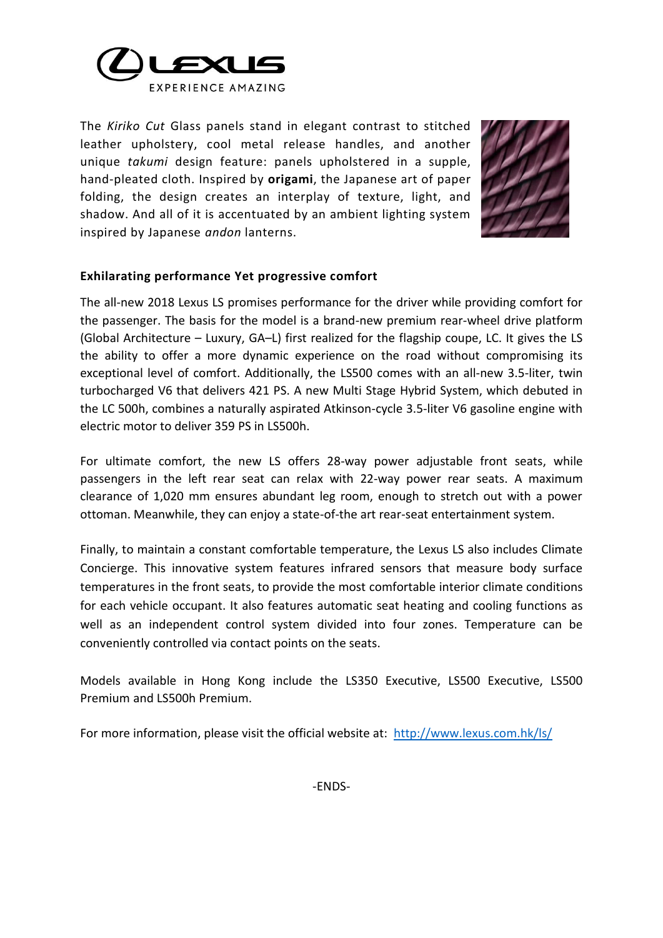

The *Kiriko Cut* Glass panels stand in elegant contrast to stitched leather upholstery, cool metal release handles, and another unique *takumi* design feature: panels upholstered in a supple, hand-pleated cloth. Inspired by **origami**, the Japanese art of paper folding, the design creates an interplay of texture, light, and shadow. And all of it is accentuated by an ambient lighting system inspired by Japanese *andon* lanterns.



## **Exhilarating performance Yet progressive comfort**

The all-new 2018 Lexus LS promises performance for the driver while providing comfort for the passenger. The basis for the model is a brand-new premium rear-wheel drive platform (Global Architecture – Luxury, GA–L) first realized for the flagship coupe, LC. It gives the LS the ability to offer a more dynamic experience on the road without compromising its exceptional level of comfort. Additionally, the LS500 comes with an all-new 3.5-liter, twin turbocharged V6 that delivers 421 PS. A new Multi Stage Hybrid System, which debuted in the LC 500h, combines a naturally aspirated Atkinson-cycle 3.5-liter V6 gasoline engine with electric motor to deliver 359 PS in LS500h.

For ultimate comfort, the new LS offers 28-way power adjustable front seats, while passengers in the left rear seat can relax with 22-way power rear seats. A maximum clearance of 1,020 mm ensures abundant leg room, enough to stretch out with a power ottoman. Meanwhile, they can enjoy a state-of-the art rear-seat entertainment system.

Finally, to maintain a constant comfortable temperature, the Lexus LS also includes Climate Concierge. This innovative system features infrared sensors that measure body surface temperatures in the front seats, to provide the most comfortable interior climate conditions for each vehicle occupant. It also features automatic seat heating and cooling functions as well as an independent control system divided into four zones. Temperature can be conveniently controlled via contact points on the seats.

Models available in Hong Kong include the LS350 Executive, LS500 Executive, LS500 Premium and LS500h Premium.

For more information, please visit the official website at: <http://www.lexus.com.hk/>ls/

-ENDS-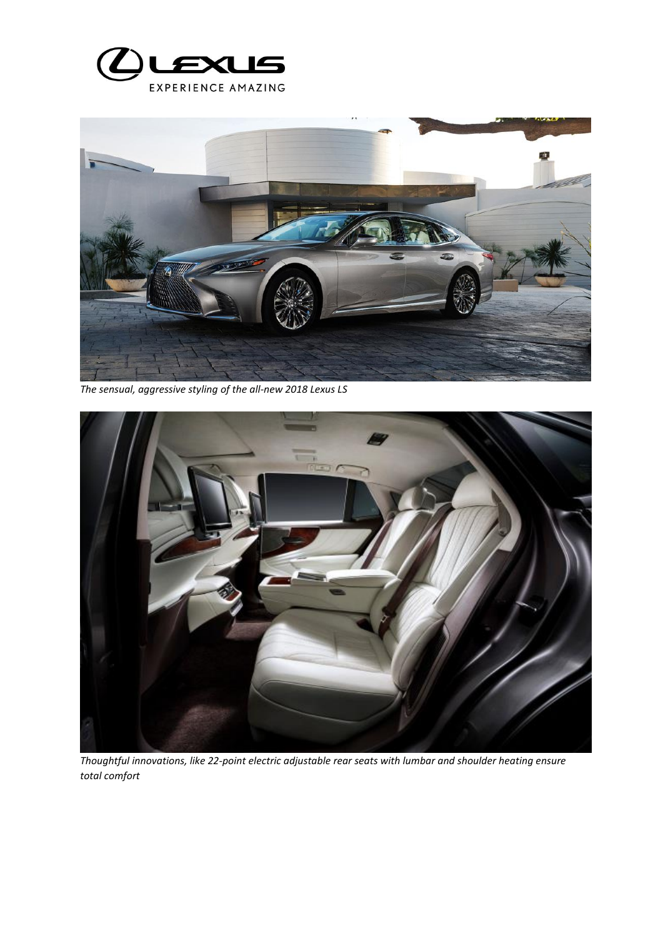



*The sensual, aggressive styling of the all-new 2018 Lexus LS*



*Thoughtful innovations, like 22-point electric adjustable rear seats with lumbar and shoulder heating ensure total comfort*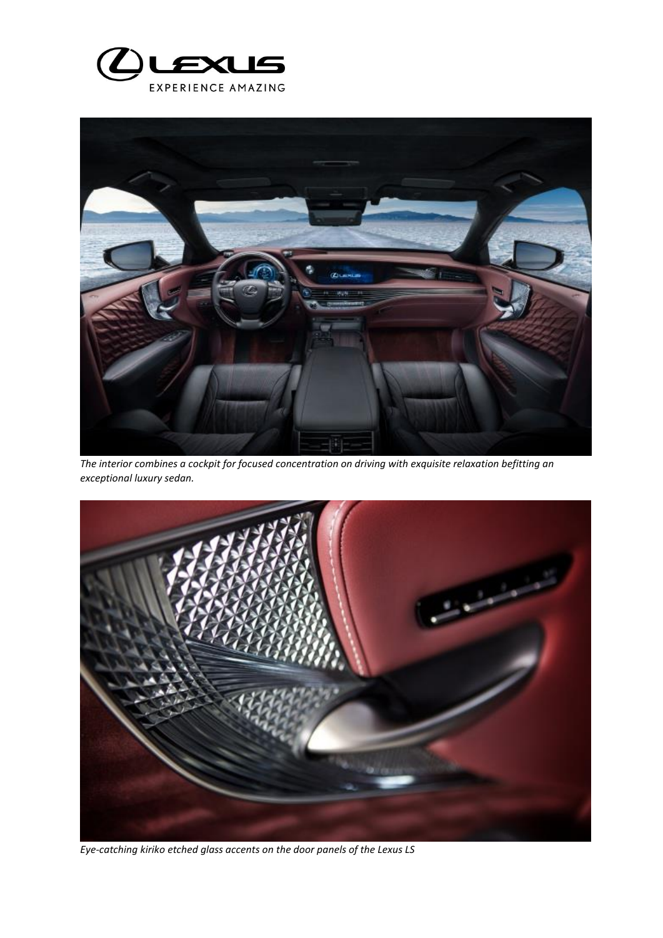



*The interior combines a cockpit for focused concentration on driving with exquisite relaxation befitting an exceptional luxury sedan.* 



*Eye-catching kiriko etched glass accents on the door panels of the Lexus LS*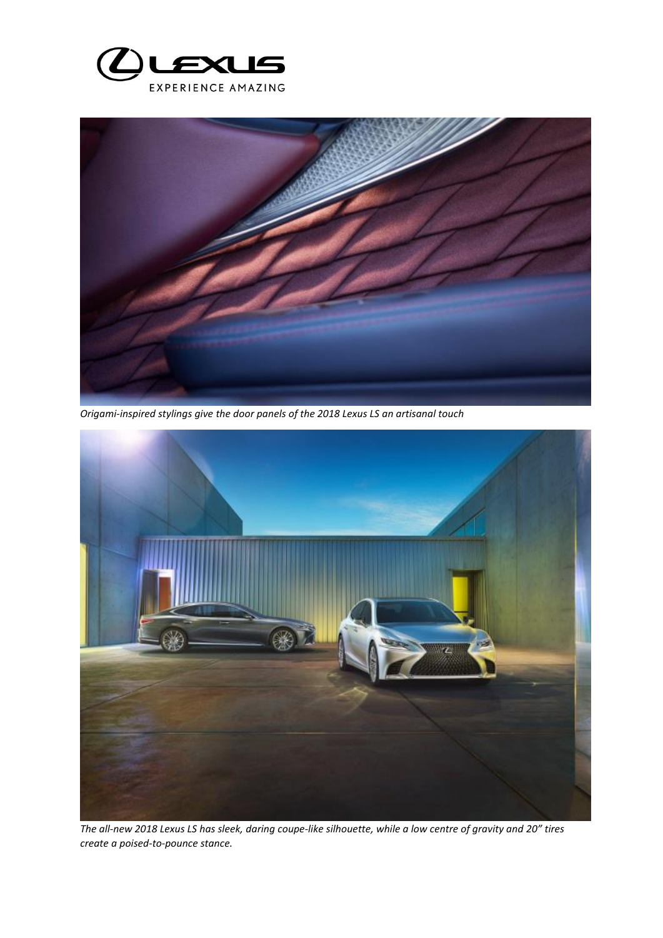



*Origami-inspired stylings give the door panels of the 2018 Lexus LS an artisanal touch*



*The all-new 2018 Lexus LS has sleek, daring coupe-like silhouette, while a low centre of gravity and 20" tires create a poised-to-pounce stance.*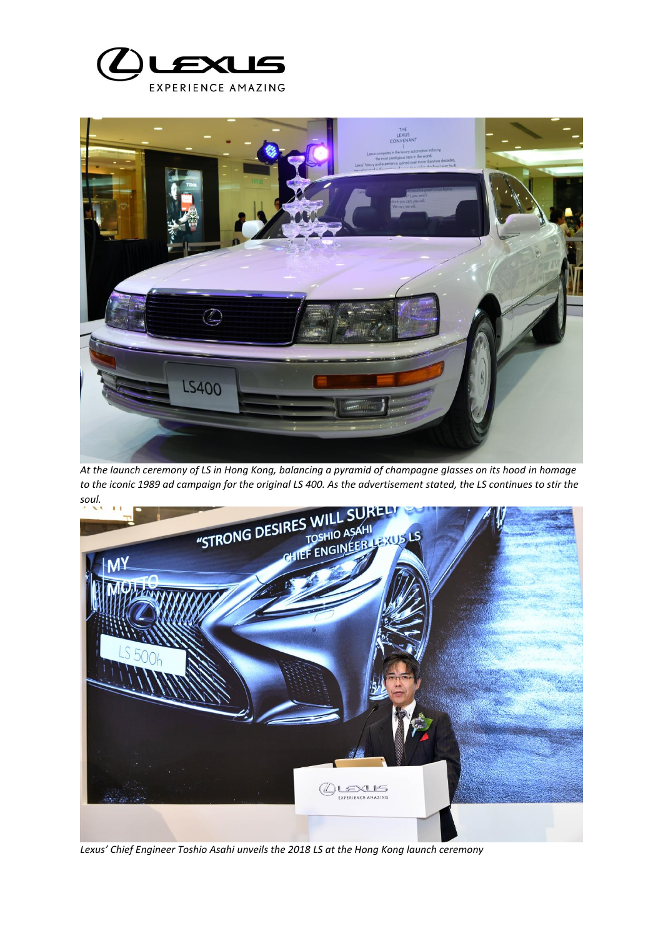



*At the launch ceremony of LS in Hong Kong, balancing a pyramid of champagne glasses on its hood in homage soul.* 



*Lexus' Chief Engineer Toshio Asahi unveils the 2018 LS at the Hong Kong launch ceremony*